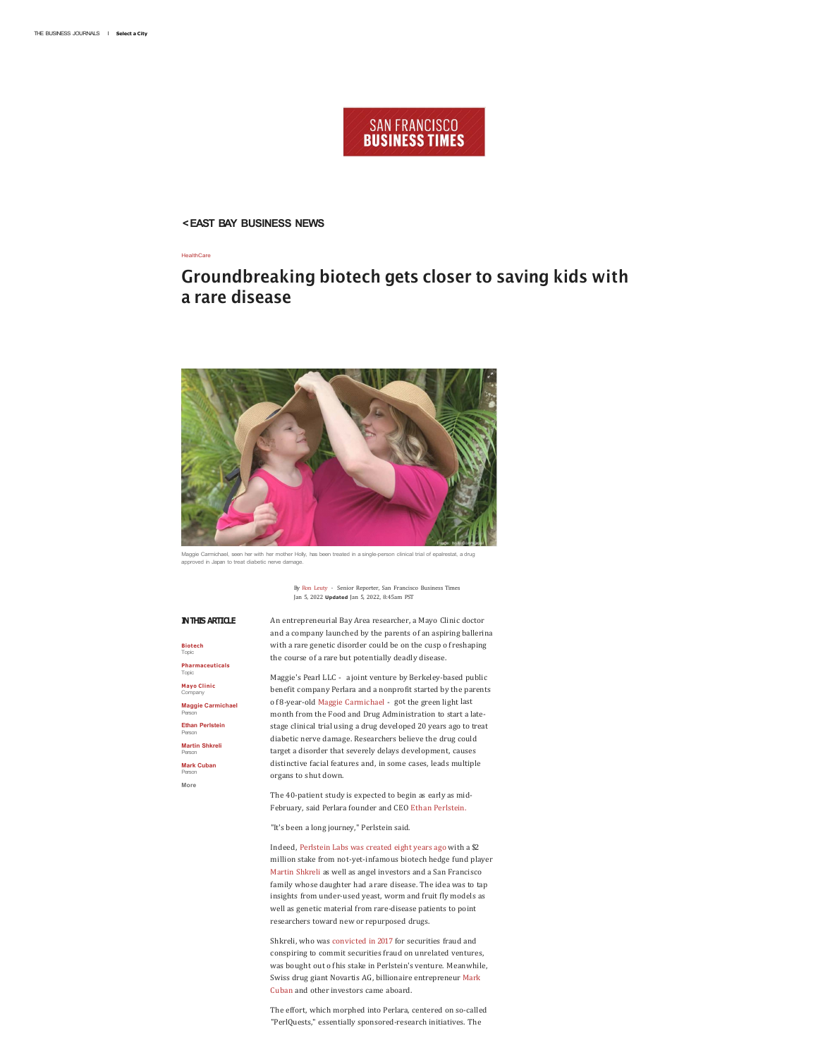# **SAN FRANCISCO BUSINESS TIMES**

**< EAST BAY BUSINESS NEWS** 

**HealthCare** 

# **Groundbreaking biotech gets closer to saving kids with a rare disease**



ichael, seen her with her mother Holly, has been treated in a single-person clinical trial of epalrestat, a drug ed in Japan to treat diabetic nerve dama

By Ron Leuty - Senior Reporter, San Francisco Business Times Jan 5, 2022 **Updated** Jan 5, 2022, 8:45am PST

#### **IN THIS ARTICLE**

**Biotech**  Topic **Pharmaceuticals**  Topic **Mayo Clinic**  Company **Maggie Carmichael**  Person **Ethan Perlstein**  Person **Martin Shkreli**  Person **Mark Cuban**  Person **More** 

An entrepreneurial Bay Area researcher, a Mayo Clinic doctor and a company launched by the parents of an aspiring ballerina with a rare genetic disorder could be on the cusp of reshaping the course of a rare but potentially deadly disease.

Maggie's Pearl LLC - a joint venture by Berkeley-based public benefit company Perlara and a nonprofit started by the parents of 8-year-old Maggie Carmichael - got the green light last month from the Food and Drug Administration to start a latestage clinical trial using a drug developed 20 years ago to treat diabetic nerve damage. Researchers believe the drug could target a disorder that severely delays development, causes distinctive facial features and, in some cases, leads multiple organs to shut down.

The 40-patient study is expected to begin as early as mid-February, said Perlara founder and CEO Ethan Perlstein.

"It's been a long journey," Perlstein said.

Indeed, Perlstein Labs was created eight years ago with a \$2 million stake from not-yet-infamous biotech hedge fund player Martin Shkreli as well as angel investors and a San Francisco family whose daughter had a rare disease. The idea was to tap insights from under-used yeast, worm and fruit fly models as well as genetic material from rare-disease patients to point researchers toward new or repurposed drugs.

Shkreli, who was convicted in 2017 for securities fraud and conspiring to commit securities fraud on unrelated ventures, was bought out of his stake in Perlstein's venture. Meanwhile, Swiss drug giant Novartis AG, billionaire entrepreneur Mark Cuban and other investors came aboard.

The effort, which morphed into Perlara, centered on so-called "PerlQuests," essentially sponsored-research initiatives. The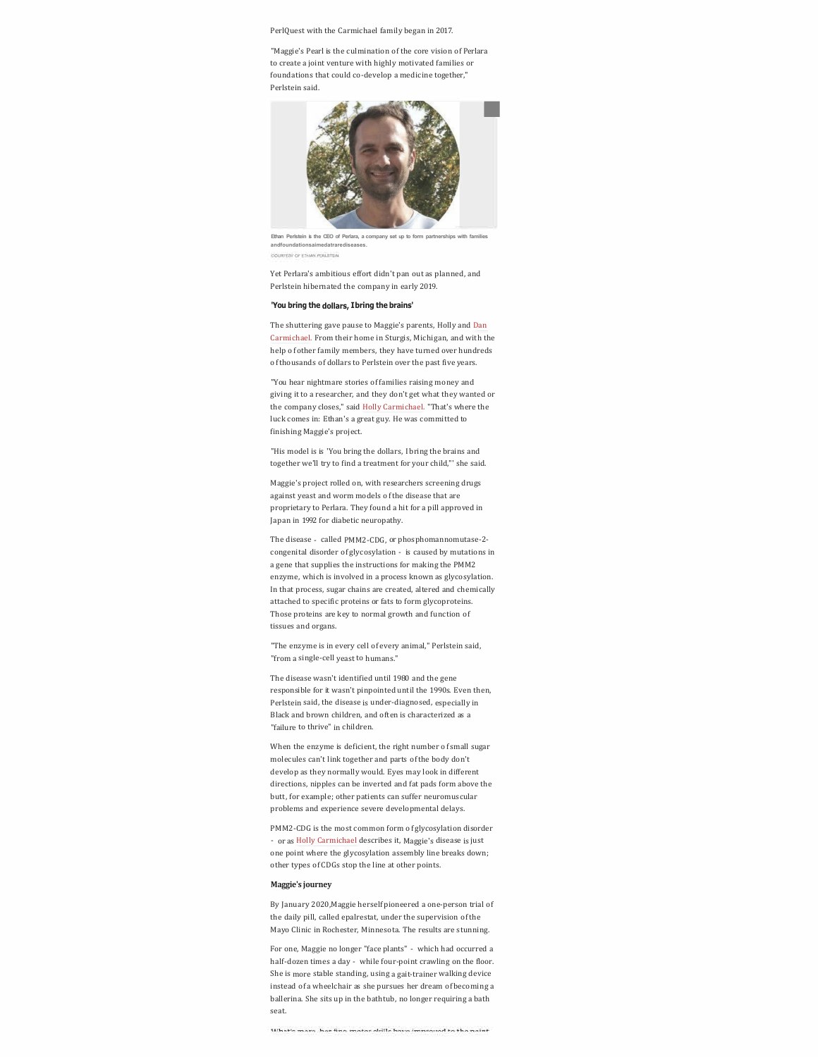Perl Quest with the Carmichael family began in 2017.

"Maggie's Pearl is the culmination of the core vision of Perlara to create a joint venture with highly motivated families or foundations that could co-develop a medicine together," Perlstein said.



Ethan Perlstein is the CEO of Perlara, a company set up to form partnerships with fa **andfoundationsaimedatrarediseases. DOUR FESTIVAL PER STUAR** 

Yet Perlara's ambitious effort didn't pan out as planned, and Perlstein hibernated the company in early 2019.

#### **'You bring the dollars, I bring the brains'**

The shuttering gave pause to Maggie's parents, Holly and Dan Carmichael. From their home in Sturgis, Michigan, and with the help of other family members, they have turned over hundreds of thousands of dollars to Perlstein over the past five years.

"You hear nightmare stories of families raising money and giving it to a researcher, and they don't get what they wanted or the company closes," said Holly Carmichael. "That's where the luck comes in: Ethan's a great guy. He was committed to finishing Maggie's project.

"His model is is 'You bring the dollars, I bring the brains and together we'll try to find a treatment for your child,"' she said.

Maggie's project rolled on, with researchers screening drugs against yeast and worm models of the disease that are proprietary to Perlara. They found a hit for a pill approved in Japan in 1992 for diabetic neuropathy.

The disease - called PMM2-CDG, or phosphomannomutase-2 congenital disorder of glycosylation - is caused by mutations in a gene that supplies the instructions for making the PMM2 enzyme, which is involved in a process known as glycosylation. In that process, sugar chains are created, altered and chemically attached to specific proteins or fats to form glycoproteins. Those proteins are key to normal growth and function of tissues and organs.

"The enzyme is in every cell of every animal," Perlstein said, "from a single-cell yeast to humans."

The disease wasn't identified until 1980 and the gene responsible for it wasn't pinpointed until the 1990s. Even then, Perlstein said, the disease is under-diagnosed, especially in Black and brown children, and often is characterized as a "failure to thrive" in children.

When the enzyme is deficient, the right number of small sugar molecules can't link together and parts of the body don't develop as they normally would. Eyes may look in different directions, nipples can be inverted and fat pads form above the butt, for example; other patients can suffer neuromuscular problems and experience severe developmental delays.

PMM2-CDG is the most common form of glycosylation disorder - or as Holly Carmichael describes it, Maggie's disease is just one point where the glycosylation assembly line breaks down; other types of CDGs stop the line at other points.

## **Maggie's journey**

By January 2020,Maggie herself pioneered a one-person trial of the daily pill, called epalrestat, under the supervision of the Mayo Clinic in Rochester, Minnesota. The results are stunning.

For one, Maggie no longer "face plants" - which had occurred a half-dozen times a day - while four-point crawling on the floor. She is more stable standing, using a gait-trainer walking device instead ofa wheelchair as she pursues her dream of becoming a ballerina. She sits up in the bathtub, no longer requiring a bath seat.

What's mass has fine mater shills have immund to the naint